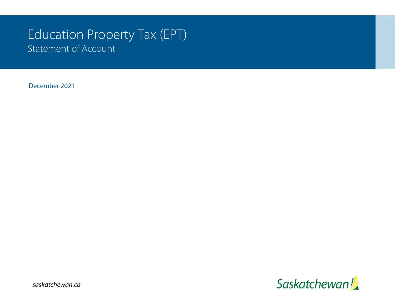# Education Property Tax (EPT) Statement of Account

December 2021



*saskatchewan.ca*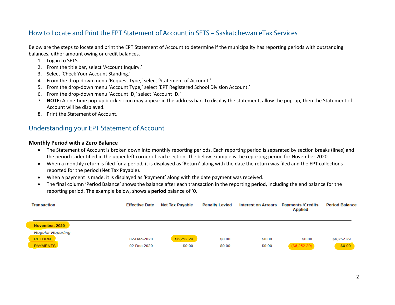## How to Locate and Print the EPT Statement of Account in SETS – Saskatchewan eTax Services

Below are the steps to locate and print the EPT Statement of Account to determine if the municipality has reporting periods with outstanding balances, either amount owing or credit balances.

- 1. Log in to SETS.
- 2. From the title bar, select 'Account Inquiry.'
- 3. Select 'Check Your Account Standing.'
- 4. From the drop-down menu 'Request Type,' select 'Statement of Account.'
- 5. From the drop-down menu 'Account Type,' select 'EPT Registered School Division Account.'
- 6. From the drop-down menu 'Account ID,' select 'Account ID.'
- 7. **NOTE:** A one-time pop-up blocker icon may appear in the address bar. To display the statement, allow the pop-up, then the Statement of Account will be displayed.
- 8. Print the Statement of Account.

## Understanding your EPT Statement of Account

#### **Monthly Period with a Zero Balance**

- The Statement of Account is broken down into monthly reporting periods. Each reporting period is separated by section breaks (lines) and the period is identified in the upper left corner of each section. The below example is the reporting period for November 2020.
- When a monthly return is filed for a period, it is displayed as 'Return' along with the date the return was filed and the EPT collections reported for the period (Net Tax Payable).
- When a payment is made, it is displayed as 'Payment' along with the date payment was received.
- The final column 'Period Balance' shows the balance after each transaction in the reporting period, including the end balance for the reporting period. The example below, shows a **period** balance of '0.'

| <b>Transaction</b>       | <b>Effective Date</b> | Net Tax Payable | <b>Penalty Levied</b> | Interest on Arrears | <b>Payments /Credits</b><br><b>Applied</b> | <b>Period Balance</b> |
|--------------------------|-----------------------|-----------------|-----------------------|---------------------|--------------------------------------------|-----------------------|
| November, 2020           |                       |                 |                       |                     |                                            |                       |
| <b>Regular Reporting</b> |                       |                 |                       |                     |                                            |                       |
| <b>RETURN</b>            | 02-Dec-2020           | \$6,252.29      | \$0.00                | \$0.00              | \$0.00                                     | \$6,252.29            |
| <b>PAYMENTS</b>          | 02-Dec-2020           | \$0.00          | \$0.00                | \$0.00              | ( \$6,252.29)                              | \$0.00                |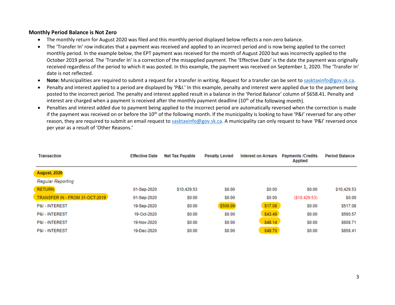#### **Monthly Period Balance is Not Zero**

- The monthly return for August 2020 was filed and this monthly period displayed below reflects a non-zero balance.
- The 'Transfer In' row indicates that a payment was received and applied to an incorrect period and is now being applied to the correct monthly period. In the example below, the EPT payment was received for the month of August 2020 but was incorrectly applied to the October 2019 period. The 'Transfer In' is a correction of the misapplied payment. The 'Effective Date' is the date the payment was originally received regardless of the period to which it was posted. In this example, the payment was received on September 1, 2020. The 'Transfer In' date is not reflected.
- Note: Municipalities are required to submit a request for a transfer in writing. Request for a transfer can be sent to [sasktaxinfo@gov.sk.ca.](mailto:sasktaxinfo@gov.sk.ca)
- Penalty and interest applied to a period are displayed by 'P&I.' In this example, penalty and interest were applied due to the payment being posted to the incorrect period. The penalty and interest applied result in a balance in the 'Period Balance' column of \$658.41. Penalty and interest are charged when a payment is received after the monthly payment deadline  $(10^{th}$  of the following month).
- Penalties and interest added due to payment being applied to the incorrect period are automatically reversed when the correction is made if the payment was received on or before the 10<sup>th</sup> of the following month. If the municipality is looking to have 'P&I' reversed for any other reason, they are required to submit an email request to [sasktaxinfo@gov.sk.ca.](mailto:sasktaxinfo@gov.sk.ca) A municipality can only request to have 'P&I' reversed once per year as a result of 'Other Reasons.'

| <b>Transaction</b>             | <b>Effective Date</b> | <b>Net Tax Pavable</b> | <b>Penalty Levied</b> | <b>Interest on Arrears</b> | <b>Payments /Credits</b><br>Applied | <b>Period Balance</b> |
|--------------------------------|-----------------------|------------------------|-----------------------|----------------------------|-------------------------------------|-----------------------|
| <b>August, 2020</b>            |                       |                        |                       |                            |                                     |                       |
| Regular Reporting              |                       |                        |                       |                            |                                     |                       |
| <b>RETURN</b>                  | 01-Sep-2020           | \$10.429.53            | S0.00                 | S <sub>0.00</sub>          | \$0.00                              | \$10,429.53           |
| TRANSFER IN - FROM 31-OCT-2019 | 01-Sep-2020           | \$0.00                 | \$0.00                | \$0.00                     | ( \$10,429.53)                      | \$0.00                |
| <b>P&amp;I - INTEREST</b>      | 19-Sep-2020           | <b>SO.00</b>           | \$500.00              | \$17.08                    | \$0.00                              | \$517.08              |
| <b>P&amp;I - INTEREST</b>      | 19-Oct-2020           | <b>SO.00</b>           | <b>SO.00</b>          | \$43.49                    | \$0.00                              | \$560.57              |
| <b>P&amp;I - INTEREST</b>      | 19-Nov-2020           | <b>SO.00</b>           | \$0.00                | \$48.14                    | <b>SO.00</b>                        | \$608.71              |
| <b>P&amp;I - INTEREST</b>      | 19-Dec-2020           | \$0.00                 | \$0.00                | \$49.70                    | \$0.00                              | \$658.41              |